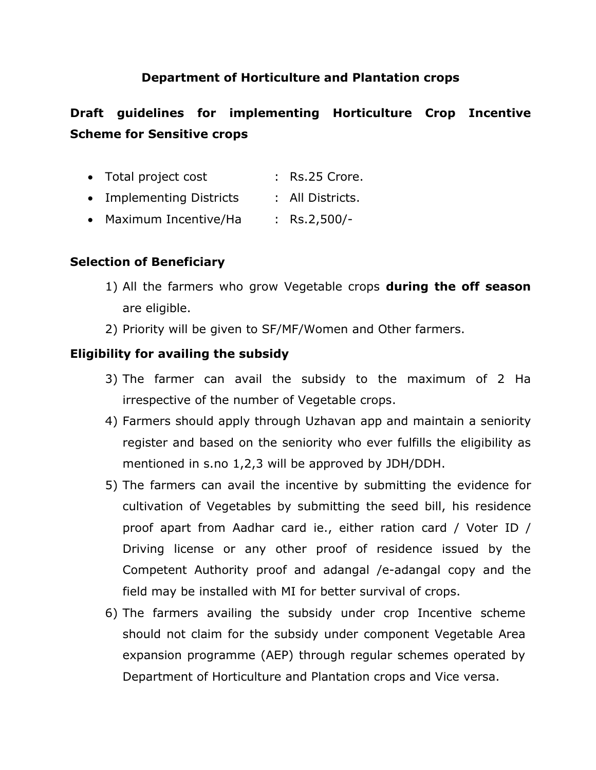# **Department of Horticulture and Plantation crops**

# **Draft guidelines for implementing Horticulture Crop Incentive Scheme for Sensitive crops**

- Total project cost : Rs.25 Crore. • Implementing Districts : All Districts.
- Maximum Incentive/Ha : Rs.2,500/-

# **Selection of Beneficiary**

- 1) All the farmers who grow Vegetable crops **during the off season** are eligible.
- 2) Priority will be given to SF/MF/Women and Other farmers.

## **Eligibility for availing the subsidy**

- 3) The farmer can avail the subsidy to the maximum of 2 Ha irrespective of the number of Vegetable crops.
- 4) Farmers should apply through Uzhavan app and maintain a seniority register and based on the seniority who ever fulfills the eligibility as mentioned in s.no 1,2,3 will be approved by JDH/DDH.
- 5) The farmers can avail the incentive by submitting the evidence for cultivation of Vegetables by submitting the seed bill, his residence proof apart from Aadhar card ie., either ration card / Voter ID / Driving license or any other proof of residence issued by the Competent Authority proof and adangal /e-adangal copy and the field may be installed with MI for better survival of crops.
- 6) The farmers availing the subsidy under crop Incentive scheme should not claim for the subsidy under component Vegetable Area expansion programme (AEP) through regular schemes operated by Department of Horticulture and Plantation crops and Vice versa.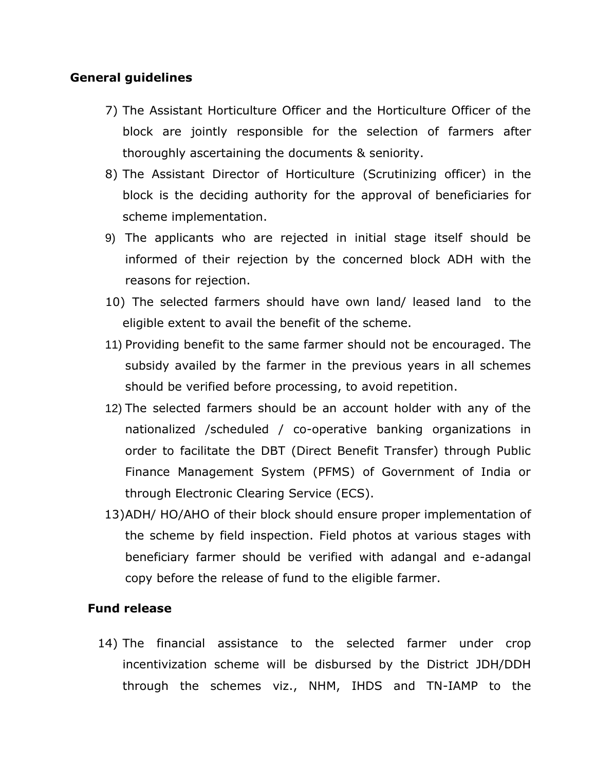### **General guidelines**

- 7) The Assistant Horticulture Officer and the Horticulture Officer of the block are jointly responsible for the selection of farmers after thoroughly ascertaining the documents & seniority.
- 8) The Assistant Director of Horticulture (Scrutinizing officer) in the block is the deciding authority for the approval of beneficiaries for scheme implementation.
- 9) The applicants who are rejected in initial stage itself should be informed of their rejection by the concerned block ADH with the reasons for rejection.
- 10) The selected farmers should have own land/ leased land to the eligible extent to avail the benefit of the scheme.
- 11) Providing benefit to the same farmer should not be encouraged. The subsidy availed by the farmer in the previous years in all schemes should be verified before processing, to avoid repetition.
- 12) The selected farmers should be an account holder with any of the nationalized /scheduled / co-operative banking organizations in order to facilitate the DBT (Direct Benefit Transfer) through Public Finance Management System (PFMS) of Government of India or through Electronic Clearing Service (ECS).
- 13)ADH/ HO/AHO of their block should ensure proper implementation of the scheme by field inspection. Field photos at various stages with beneficiary farmer should be verified with adangal and e-adangal copy before the release of fund to the eligible farmer.

### **Fund release**

14) The financial assistance to the selected farmer under crop incentivization scheme will be disbursed by the District JDH/DDH through the schemes viz., NHM, IHDS and TN-IAMP to the